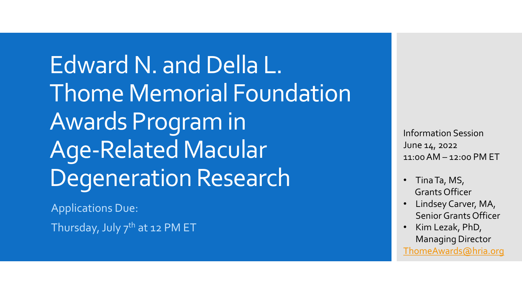Edward N. and Della L. Thome Memorial Foundation Awards Program in Age-Related Macular Degeneration Research

Applications Due:

Thursday, July 7<sup>th</sup> at 12 PM ET

Information Session June 14, 2022 11:00 AM – 12:00 PM ET

- Tina Ta, MS, Grants Officer
- Lindsey Carver, MA, Senior Grants Officer
- Kim Lezak, PhD, Managing Director [ThomeAwards@hria.org](mailto:ThomeAwards@hria.org)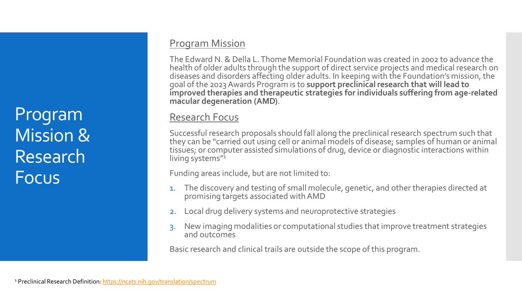Program Mission & Research Focus

### Program Mission

The Edward N. & Della L. Thome Memorial Foundation was created in 2002 to advance the health of older adults through the support of direct service projects and medical research on diseases and disorders affecting older adults. In keeping with the Foundation's mission, the goal of the 2023 Awards Program is to **support preclinical research that will lead to improved therapies and therapeutic strategies for individuals suffering from age-related macular degeneration (AMD)**.

### Research Focus

Successful research proposals should fall along the preclinical research spectrum such that they can be "carried out using cell or animal models of disease; samples of human or animal tissues; or computer assisted simulations of drug, device or diagnostic interactions within living systems"<sup>1</sup>

Funding areas include, but are not limited to:

- The discovery and testing of small molecule, genetic, and other therapies directed at promising targets associated with AMD
- 2. Local drug delivery systems and neuroprotective strategies
- 3. New imaging modalities or computational studies that improve treatment strategies and outcomes

Basic research and clinical trails are outside the scope of this program.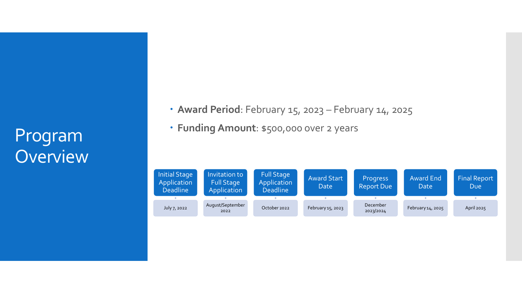# Program **Overview**

- **Award Period**: February 15, 2023 February 14, 2025
- **Funding Amount**: \$500,000 over 2 years

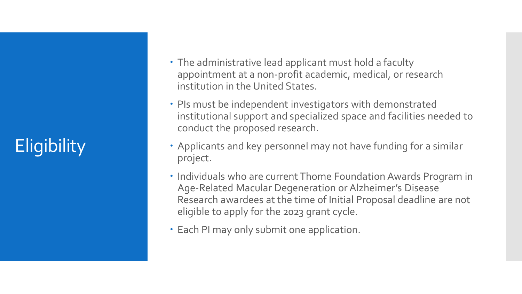# **Eligibility**

- The administrative lead applicant must hold a faculty appointment at a non-profit academic, medical, or research institution in the United States.
- PIs must be independent investigators with demonstrated institutional support and specialized space and facilities needed to conduct the proposed research.
- Applicants and key personnel may not have funding for a similar project.
- Individuals who are current Thome Foundation Awards Program in Age-Related Macular Degeneration or Alzheimer's Disease Research awardees at the time of Initial Proposal deadline are not eligible to apply for the 2023 grant cycle.
- Each PI may only submit one application.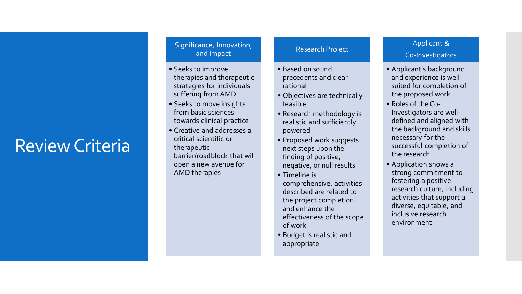# Review Criteria

#### Significance, Innovation, and Impact

- Seeks to improve therapies and therapeutic strategies for individuals suffering from AMD
- Seeks to move insights from basic sciences towards clinical practice
- Creative and addresses a critical scientific or therapeutic barrier/roadblock that will open a new avenue for AMD therapies

#### Research Project

- Based on sound precedents and clear rational
- Objectives are technically feasible
- Research methodology is realistic and sufficiently powered
- Proposed work suggests next steps upon the finding of positive, negative, or null results
- Timeline is comprehensive, activities described are related to the project completion and enhance the effectiveness of the scope of work
- Budget is realistic and appropriate

### Applicant &

#### Co -Investigators

- Applicant's background and experience is well suited for completion of the proposed work
- Roles of the Co Investigators are well defined and aligned with the background and skills necessary for the successful completion of the research
- Application shows a strong commitment to fostering a positive research culture, including activities that support a diverse, equitable, and inclusive research environment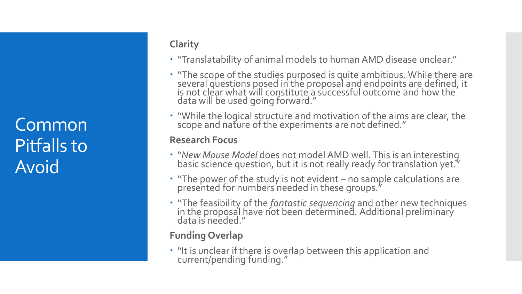**Common** Pitfalls to Avoid

# **Clarity**

- "Translatability of animal models to human AMD disease unclear."
- "The scope of the studies purposed is quite ambitious. While there are several questions posed in the proposal and endpoints are defined, it is not clear what will constitute a successful outcome and how the  $\dot{ }$ data will be used going forward."
- "While the logical structure and motivation of the aims are clear, the scope and nature of the experiments are not defined."

## **Research Focus**

- "*New Mouse Model* does not model AMD well. This is an interesting basic science question, but it is not really ready for translation yet."
- "The power of the study is not evident no sample calculations are presented for numbers needed in these groups."
- "The feasibility of the *fantastic sequencing* and other new techniques in the proposal have not been determined. Additional preliminary data is needed."

# **Funding Overlap**

• "It is unclear if there is overlap between this application and current/pending funding."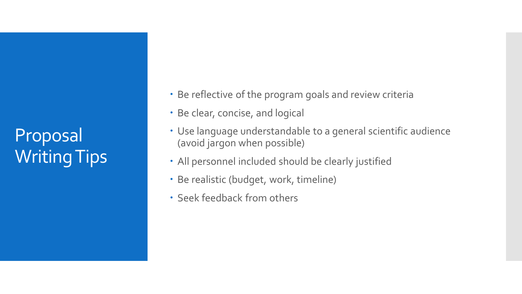Proposal Writing Tips

- Be reflective of the program goals and review criteria
- Be clear, concise, and logical
- Use language understandable to a general scientific audience (avoid jargon when possible)
- All personnel included should be clearly justified
- Be realistic (budget, work, timeline)
- Seek feedback from others